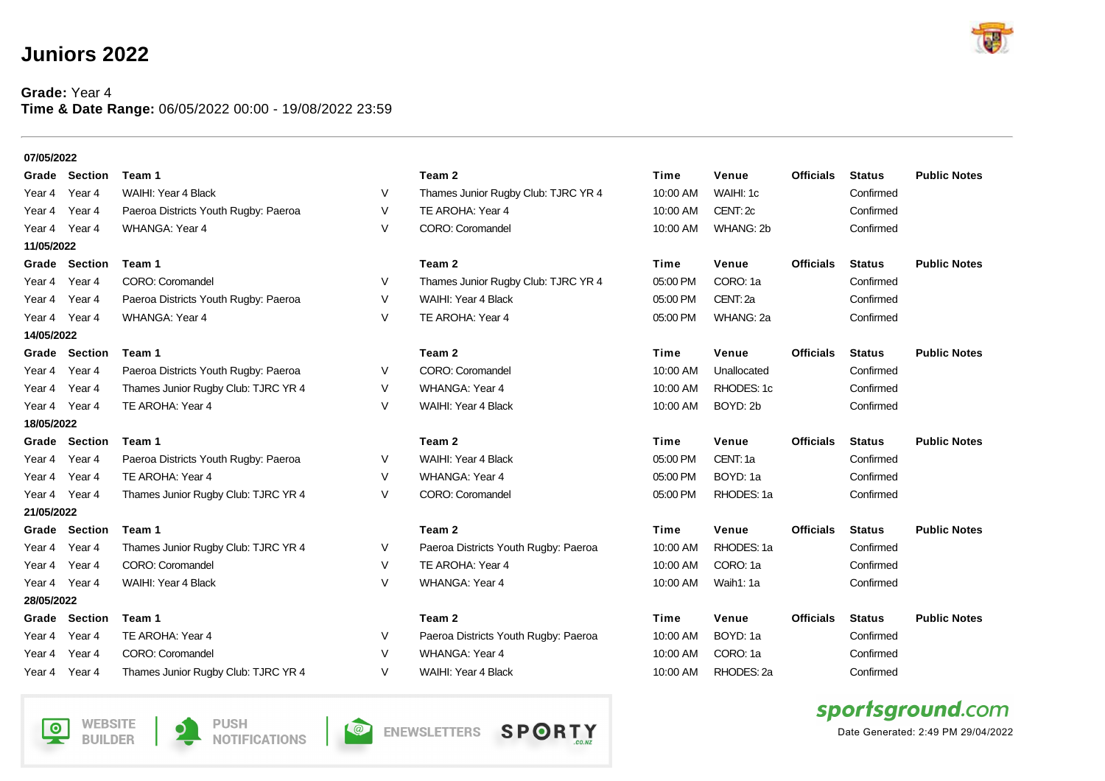## **Juniors 2022**

## **Grade:** Year 4 **Time & Date Range:** 06/05/2022 00:00 - 19/08/2022 23:59

| 07/05/2022    |                      |                                      |        |                                      |          |             |                  |               |                     |
|---------------|----------------------|--------------------------------------|--------|--------------------------------------|----------|-------------|------------------|---------------|---------------------|
|               | <b>Grade Section</b> | Team 1                               |        | Team 2                               | Time     | Venue       | <b>Officials</b> | <b>Status</b> | <b>Public Notes</b> |
| Year 4        | Year 4               | WAIHI: Year 4 Black                  | V      | Thames Junior Rugby Club: TJRC YR 4  | 10:00 AM | WAIHI: 1c   |                  | Confirmed     |                     |
| Year 4        | Year 4               | Paeroa Districts Youth Rugby: Paeroa | V      | TE AROHA: Year 4                     | 10:00 AM | CENT: 2c    |                  | Confirmed     |                     |
| Year 4        | Year 4               | <b>WHANGA: Year 4</b>                | V      | CORO: Coromandel                     | 10:00 AM | WHANG: 2b   |                  | Confirmed     |                     |
| 11/05/2022    |                      |                                      |        |                                      |          |             |                  |               |                     |
|               | <b>Grade Section</b> | Team 1                               |        | Team 2                               | Time     | Venue       | <b>Officials</b> | <b>Status</b> | <b>Public Notes</b> |
| Year 4        | Year 4               | CORO: Coromandel                     | V      | Thames Junior Rugby Club: TJRC YR 4  | 05:00 PM | CORO: 1a    |                  | Confirmed     |                     |
| Year 4        | Year 4               | Paeroa Districts Youth Rugby: Paeroa | V      | WAIHI: Year 4 Black                  | 05:00 PM | CENT: 2a    |                  | Confirmed     |                     |
| Year 4 Year 4 |                      | <b>WHANGA: Year 4</b>                | V      | TE AROHA: Year 4                     | 05:00 PM | WHANG: 2a   |                  | Confirmed     |                     |
| 14/05/2022    |                      |                                      |        |                                      |          |             |                  |               |                     |
|               | <b>Grade Section</b> | Team 1                               |        | Team 2                               | Time     | Venue       | <b>Officials</b> | <b>Status</b> | <b>Public Notes</b> |
| Year 4        | Year 4               | Paeroa Districts Youth Rugby: Paeroa | V      | CORO: Coromandel                     | 10:00 AM | Unallocated |                  | Confirmed     |                     |
| Year 4        | Year 4               | Thames Junior Rugby Club: TJRC YR 4  | V      | <b>WHANGA: Year 4</b>                | 10:00 AM | RHODES: 1c  |                  | Confirmed     |                     |
| Year 4 Year 4 |                      | TE AROHA: Year 4                     | V      | WAIHI: Year 4 Black                  | 10:00 AM | BOYD: 2b    |                  | Confirmed     |                     |
| 18/05/2022    |                      |                                      |        |                                      |          |             |                  |               |                     |
|               | <b>Grade Section</b> | Team 1                               |        | Team 2                               | Time     | Venue       | <b>Officials</b> | <b>Status</b> | <b>Public Notes</b> |
| Year 4        | Year 4               | Paeroa Districts Youth Rugby: Paeroa | V      | WAIHI: Year 4 Black                  | 05:00 PM | CENT: 1a    |                  | Confirmed     |                     |
| Year 4        | Year 4               | TE AROHA: Year 4                     | V      | <b>WHANGA: Year 4</b>                | 05:00 PM | BOYD: 1a    |                  | Confirmed     |                     |
| Year 4 Year 4 |                      | Thames Junior Rugby Club: TJRC YR 4  | V      | CORO: Coromandel                     | 05:00 PM | RHODES: 1a  |                  | Confirmed     |                     |
| 21/05/2022    |                      |                                      |        |                                      |          |             |                  |               |                     |
|               | <b>Grade Section</b> | Team 1                               |        | Team 2                               | Time     | Venue       | <b>Officials</b> | <b>Status</b> | <b>Public Notes</b> |
| Year 4        | Year 4               | Thames Junior Rugby Club: TJRC YR 4  | V      | Paeroa Districts Youth Rugby: Paeroa | 10:00 AM | RHODES: 1a  |                  | Confirmed     |                     |
| Year 4        | Year 4               | CORO: Coromandel                     | V      | TE AROHA: Year 4                     | 10:00 AM | CORO: 1a    |                  | Confirmed     |                     |
| Year 4 Year 4 |                      | WAIHI: Year 4 Black                  | $\vee$ | <b>WHANGA: Year 4</b>                | 10:00 AM | Waih1: 1a   |                  | Confirmed     |                     |
| 28/05/2022    |                      |                                      |        |                                      |          |             |                  |               |                     |
| Grade         | Section              | Team 1                               |        | Team 2                               | Time     | Venue       | <b>Officials</b> | <b>Status</b> | <b>Public Notes</b> |
| Year 4        | Year 4               | TE AROHA: Year 4                     | V      | Paeroa Districts Youth Rugby: Paeroa | 10:00 AM | BOYD: 1a    |                  | Confirmed     |                     |
| Year 4        | Year <sub>4</sub>    | CORO: Coromandel                     | V      | <b>WHANGA: Year 4</b>                | 10:00 AM | CORO: 1a    |                  | Confirmed     |                     |
|               | Year 4 Year 4        | Thames Junior Rugby Club: TJRC YR 4  | V      | WAIHI: Year 4 Black                  | 10:00 AM | RHODES: 2a  |                  | Confirmed     |                     |











Date Generated: 2:49 PM 29/04/2022